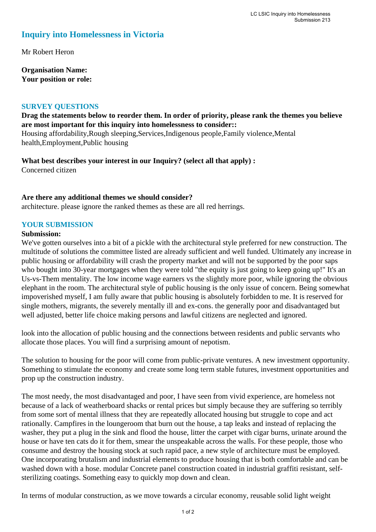# **Inquiry into Homelessness in Victoria**

Mr Robert Heron

**Organisation Name: Your position or role:** 

### **SURVEY QUESTIONS**

**Drag the statements below to reorder them. In order of priority, please rank the themes you believe are most important for this inquiry into homelessness to consider::** 

Housing affordability,Rough sleeping,Services,Indigenous people,Family violence,Mental health,Employment,Public housing

**What best describes your interest in our Inquiry? (select all that apply) :**  Concerned citizen

### **Are there any additional themes we should consider?**

architecture. please ignore the ranked themes as these are all red herrings.

## **YOUR SUBMISSION**

#### **Submission:**

We've gotten ourselves into a bit of a pickle with the architectural style preferred for new construction. The multitude of solutions the committee listed are already sufficient and well funded. Ultimately any increase in public housing or affordability will crash the property market and will not be supported by the poor saps who bought into 30-year mortgages when they were told "the equity is just going to keep going up!" It's an Us-vs-Them mentality. The low income wage earners vs the slightly more poor, while ignoring the obvious elephant in the room. The architectural style of public housing is the only issue of concern. Being somewhat impoverished myself, I am fully aware that public housing is absolutely forbidden to me. It is reserved for single mothers, migrants, the severely mentally ill and ex-cons. the generally poor and disadvantaged but well adjusted, better life choice making persons and lawful citizens are neglected and ignored.

look into the allocation of public housing and the connections between residents and public servants who allocate those places. You will find a surprising amount of nepotism.

The solution to housing for the poor will come from public-private ventures. A new investment opportunity. Something to stimulate the economy and create some long term stable futures, investment opportunities and prop up the construction industry.

The most needy, the most disadvantaged and poor, I have seen from vivid experience, are homeless not because of a lack of weatherboard shacks or rental prices but simply because they are suffering so terribly from some sort of mental illness that they are repeatedly allocated housing but struggle to cope and act rationally. Campfires in the loungeroom that burn out the house, a tap leaks and instead of replacing the washer, they put a plug in the sink and flood the house, litter the carpet with cigar burns, urinate around the house or have ten cats do it for them, smear the unspeakable across the walls. For these people, those who consume and destroy the housing stock at such rapid pace, a new style of architecture must be employed. One incorporating brutalism and industrial elements to produce housing that is both comfortable and can be washed down with a hose. modular Concrete panel construction coated in industrial graffiti resistant, selfsterilizing coatings. Something easy to quickly mop down and clean.

In terms of modular construction, as we move towards a circular economy, reusable solid light weight